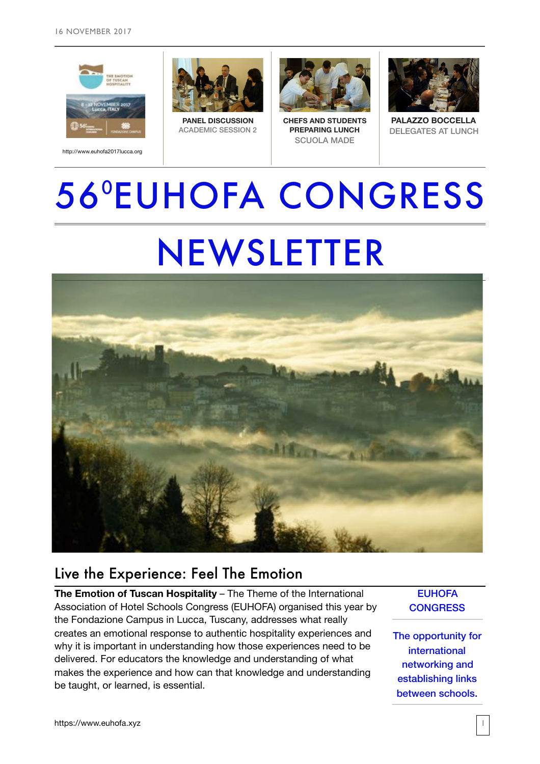







**PANEL DISCUSSION** ACADEMIC SESSION 2



**CHEFS AND STUDENTS PREPARING LUNCH** SCUOLA MADE



**PALAZZO BOCCELLA** DELEGATES AT LUNCH

# 560 EUHOFA CONGRESS NEWSLETTER



### Live the Experience: Feel The Emotion

**The Emotion of Tuscan Hospitality** – The Theme of the International Association of Hotel Schools Congress (EUHOFA) organised this year by the Fondazione Campus in Lucca, Tuscany, addresses what really creates an emotional response to authentic hospitality experiences and why it is important in understanding how those experiences need to be delivered. For educators the knowledge and understanding of what makes the experience and how can that knowledge and understanding be taught, or learned, is essential.

**EUHOFA CONGRESS** 

The opportunity for international networking and establishing links between schools.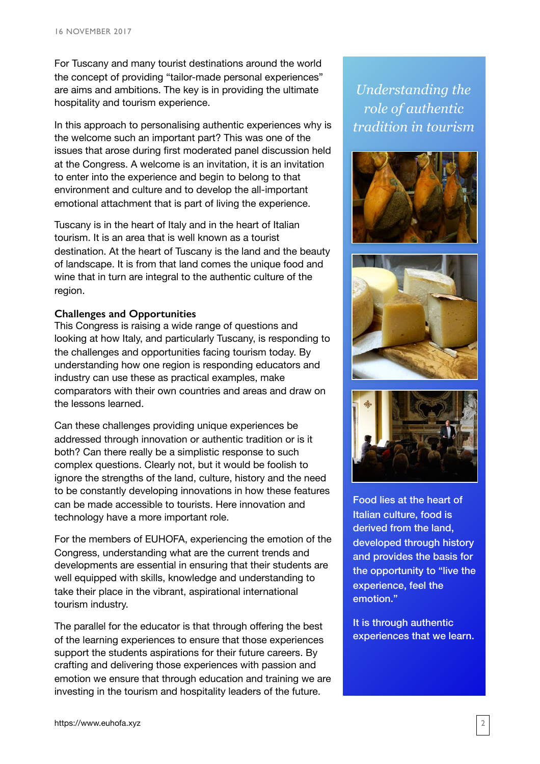For Tuscany and many tourist destinations around the world the concept of providing "tailor-made personal experiences" are aims and ambitions. The key is in providing the ultimate hospitality and tourism experience.

In this approach to personalising authentic experiences why is the welcome such an important part? This was one of the issues that arose during first moderated panel discussion held at the Congress. A welcome is an invitation, it is an invitation to enter into the experience and begin to belong to that environment and culture and to develop the all-important emotional attachment that is part of living the experience.

Tuscany is in the heart of Italy and in the heart of Italian tourism. It is an area that is well known as a tourist destination. At the heart of Tuscany is the land and the beauty of landscape. It is from that land comes the unique food and wine that in turn are integral to the authentic culture of the region.

#### **Challenges and Opportunities**

This Congress is raising a wide range of questions and looking at how Italy, and particularly Tuscany, is responding to the challenges and opportunities facing tourism today. By understanding how one region is responding educators and industry can use these as practical examples, make comparators with their own countries and areas and draw on the lessons learned.

Can these challenges providing unique experiences be addressed through innovation or authentic tradition or is it both? Can there really be a simplistic response to such complex questions. Clearly not, but it would be foolish to ignore the strengths of the land, culture, history and the need to be constantly developing innovations in how these features can be made accessible to tourists. Here innovation and technology have a more important role.

For the members of EUHOFA, experiencing the emotion of the Congress, understanding what are the current trends and developments are essential in ensuring that their students are well equipped with skills, knowledge and understanding to take their place in the vibrant, aspirational international tourism industry.

The parallel for the educator is that through offering the best of the learning experiences to ensure that those experiences support the students aspirations for their future careers. By crafting and delivering those experiences with passion and emotion we ensure that through education and training we are investing in the tourism and hospitality leaders of the future.

*Understanding the role of authentic tradition in tourism*







Food lies at the heart of Italian culture, food is derived from the land, developed through history and provides the basis for the opportunity to "live the experience, feel the emotion."

It is through authentic experiences that we learn.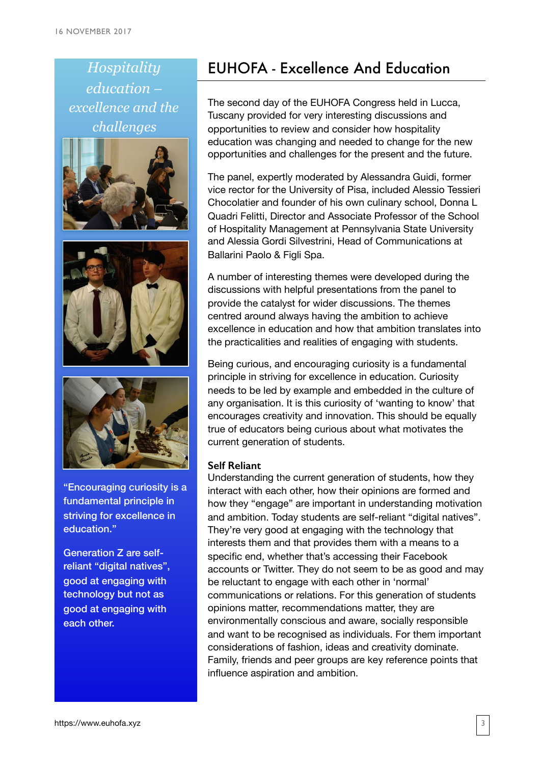*Hospitality education – excellence and the challenges*





"Encouraging curiosity is a fundamental principle in striving for excellence in education."

Generation Z are selfreliant "digital natives", good at engaging with technology but not as good at engaging with each other.

## EUHOFA - Excellence And Education

The second day of the EUHOFA Congress held in Lucca, Tuscany provided for very interesting discussions and opportunities to review and consider how hospitality education was changing and needed to change for the new opportunities and challenges for the present and the future.

The panel, expertly moderated by Alessandra Guidi, former vice rector for the University of Pisa, included Alessio Tessieri Chocolatier and founder of his own culinary school, Donna L Quadri Felitti, Director and Associate Professor of the School of Hospitality Management at Pennsylvania State University and Alessia Gordi Silvestrini, Head of Communications at Ballarini Paolo & Figli Spa.

A number of interesting themes were developed during the discussions with helpful presentations from the panel to provide the catalyst for wider discussions. The themes centred around always having the ambition to achieve excellence in education and how that ambition translates into the practicalities and realities of engaging with students.

Being curious, and encouraging curiosity is a fundamental principle in striving for excellence in education. Curiosity needs to be led by example and embedded in the culture of any organisation. It is this curiosity of 'wanting to know' that encourages creativity and innovation. This should be equally true of educators being curious about what motivates the current generation of students.

#### **Self Reliant**

Understanding the current generation of students, how they interact with each other, how their opinions are formed and how they "engage" are important in understanding motivation and ambition. Today students are self-reliant "digital natives". They're very good at engaging with the technology that interests them and that provides them with a means to a specific end, whether that's accessing their Facebook accounts or Twitter. They do not seem to be as good and may be reluctant to engage with each other in 'normal' communications or relations. For this generation of students opinions matter, recommendations matter, they are environmentally conscious and aware, socially responsible and want to be recognised as individuals. For them important considerations of fashion, ideas and creativity dominate. Family, friends and peer groups are key reference points that influence aspiration and ambition.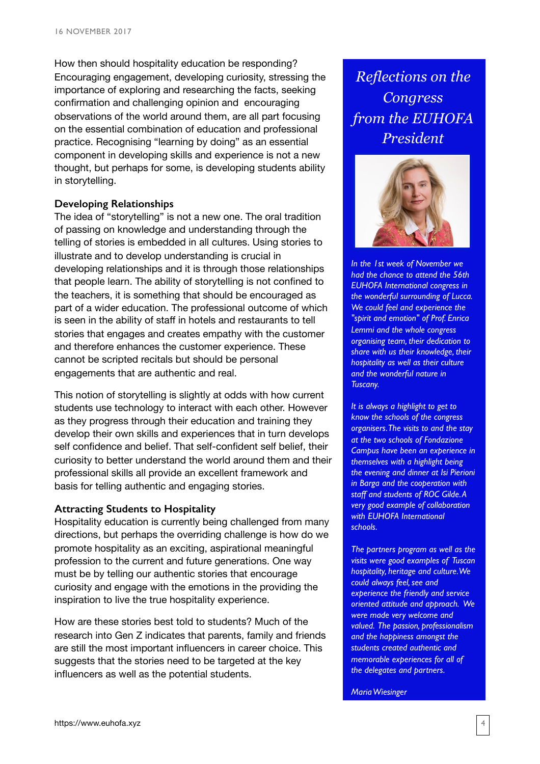How then should hospitality education be responding? Encouraging engagement, developing curiosity, stressing the importance of exploring and researching the facts, seeking confirmation and challenging opinion and encouraging observations of the world around them, are all part focusing on the essential combination of education and professional practice. Recognising "learning by doing" as an essential component in developing skills and experience is not a new thought, but perhaps for some, is developing students ability in storytelling.

#### **Developing Relationships**

The idea of "storytelling" is not a new one. The oral tradition of passing on knowledge and understanding through the telling of stories is embedded in all cultures. Using stories to illustrate and to develop understanding is crucial in developing relationships and it is through those relationships that people learn. The ability of storytelling is not confined to the teachers, it is something that should be encouraged as part of a wider education. The professional outcome of which is seen in the ability of staff in hotels and restaurants to tell stories that engages and creates empathy with the customer and therefore enhances the customer experience. These cannot be scripted recitals but should be personal engagements that are authentic and real.

This notion of storytelling is slightly at odds with how current students use technology to interact with each other. However as they progress through their education and training they develop their own skills and experiences that in turn develops self confidence and belief. That self-confident self belief, their curiosity to better understand the world around them and their professional skills all provide an excellent framework and basis for telling authentic and engaging stories.

#### **Attracting Students to Hospitality**

Hospitality education is currently being challenged from many directions, but perhaps the overriding challenge is how do we promote hospitality as an exciting, aspirational meaningful profession to the current and future generations. One way must be by telling our authentic stories that encourage curiosity and engage with the emotions in the providing the inspiration to live the true hospitality experience.

How are these stories best told to students? Much of the research into Gen Z indicates that parents, family and friends are still the most important influencers in career choice. This suggests that the stories need to be targeted at the key influencers as well as the potential students.

*Reflections on the Congress from the EUHOFA President* 



*In the 1st week of November we had the chance to attend the 56th EUHOFA International congress in the wonderful surrounding of Lucca. We could feel and experience the "spirit and emotion" of Prof. Enrica Lemmi and the whole congress organising team, their dedication to share with us their knowledge, their hospitality as well as their culture and the wonderful nature in Tuscany.*

*It is always a highlight to get to know the schools of the congress organisers. The visits to and the stay at the two schools of Fondazione Campus have been an experience in themselves with a highlight being the evening and dinner at Isi Pierioni in Barga and the cooperation with staff and students of ROC Gilde. A very good example of collaboration with EUHOFA International schools.*

*The partners program as well as the visits were good examples of Tuscan hospitality, heritage and culture. We could always feel, see and experience the friendly and service oriented attitude and approach. We were made very welcome and valued. The passion, professionalism and the happiness amongst the students created authentic and memorable experiences for all of the delegates and partners.*

*Maria Wiesinger*